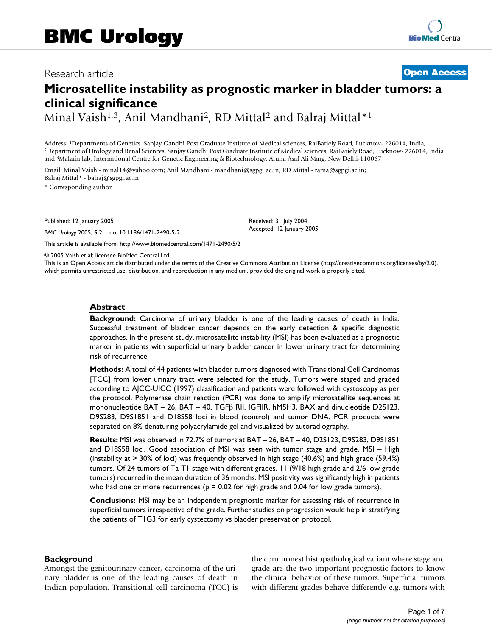# Research article **[Open Access](http://www.biomedcentral.com/info/about/charter/)**

# **Microsatellite instability as prognostic marker in bladder tumors: a clinical significance**

Minal Vaish<sup>1,3</sup>, Anil Mandhani<sup>2</sup>, RD Mittal<sup>2</sup> and Balraj Mittal<sup>\*1</sup>

Address: <sup>1</sup>Departments of Genetics, Sanjay Gandhi Post Graduate Institute of Medical sciences, RaiBariely Road, Lucknow- 226014, India,<br><sup>2</sup>Department of Urology and Renal Sciences, Sanjay Gandhi Post Graduate Institute of and 3Malaria lab, International Centre for Genetic Engineering & Biotechnology, Aruna Asaf Ali Marg, New Delhi-110067

Email: Minal Vaish - minal14@yahoo.com; Anil Mandhani - mandhani@sgpgi.ac.in; RD Mittal - rama@sgpgi.ac.in; Balraj Mittal\* - balraj@sgpgi.ac.in

\* Corresponding author

Published: 12 January 2005

*BMC Urology* 2005, **5**:2 doi:10.1186/1471-2490-5-2

[This article is available from: http://www.biomedcentral.com/1471-2490/5/2](http://www.biomedcentral.com/1471-2490/5/2)

© 2005 Vaish et al; licensee BioMed Central Ltd.

This is an Open Access article distributed under the terms of the Creative Commons Attribution License [\(http://creativecommons.org/licenses/by/2.0\)](http://creativecommons.org/licenses/by/2.0), which permits unrestricted use, distribution, and reproduction in any medium, provided the original work is properly cited.

Received: 31 July 2004 Accepted: 12 January 2005

### **Abstract**

**Background:** Carcinoma of urinary bladder is one of the leading causes of death in India. Successful treatment of bladder cancer depends on the early detection & specific diagnostic approaches. In the present study, microsatellite instability (MSI) has been evaluated as a prognostic marker in patients with superficial urinary bladder cancer in lower urinary tract for determining risk of recurrence.

**Methods:** A total of 44 patients with bladder tumors diagnosed with Transitional Cell Carcinomas [TCC] from lower urinary tract were selected for the study. Tumors were staged and graded according to AJCC-UICC (1997) classification and patients were followed with cystoscopy as per the protocol. Polymerase chain reaction (PCR) was done to amplify microsatellite sequences at mononucleotide BAT – 26, BAT – 40, TGF $\beta$  RII, IGFIIR, hMSH3, BAX and dinucleotide D2S123, D9S283, D9S1851 and D18S58 loci in blood (control) and tumor DNA. PCR products were separated on 8% denaturing polyacrylamide gel and visualized by autoradiography.

**Results:** MSI was observed in 72.7% of tumors at BAT – 26, BAT – 40, D2S123, D9S283, D9S1851 and D18S58 loci. Good association of MSI was seen with tumor stage and grade. MSI – High (instability at > 30% of loci) was frequently observed in high stage (40.6%) and high grade (59.4%) tumors. Of 24 tumors of Ta-T1 stage with different grades, 11 (9/18 high grade and 2/6 low grade tumors) recurred in the mean duration of 36 months. MSI positivity was significantly high in patients who had one or more recurrences ( $p = 0.02$  for high grade and 0.04 for low grade tumors).

**Conclusions:** MSI may be an independent prognostic marker for assessing risk of recurrence in superficial tumors irrespective of the grade. Further studies on progression would help in stratifying the patients of T1G3 for early cystectomy vs bladder preservation protocol.

#### **Background**

Amongst the genitourinary cancer, carcinoma of the urinary bladder is one of the leading causes of death in Indian population. Transitional cell carcinoma (TCC) is the commonest histopathological variant where stage and grade are the two important prognostic factors to know the clinical behavior of these tumors. Superficial tumors with different grades behave differently e.g. tumors with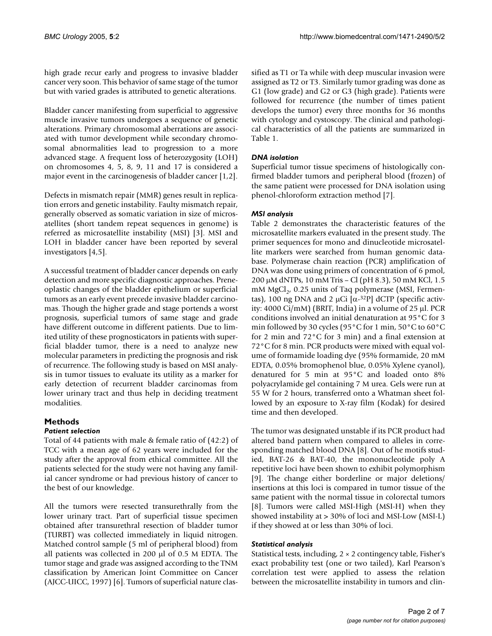high grade recur early and progress to invasive bladder cancer very soon. This behavior of same stage of the tumor but with varied grades is attributed to genetic alterations.

Bladder cancer manifesting from superficial to aggressive muscle invasive tumors undergoes a sequence of genetic alterations. Primary chromosomal aberrations are associated with tumor development while secondary chromosomal abnormalities lead to progression to a more advanced stage. A frequent loss of heterozygosity (LOH) on chromosomes 4, 5, 8, 9, 11 and 17 is considered a major event in the carcinogenesis of bladder cancer [1,2].

Defects in mismatch repair (MMR) genes result in replication errors and genetic instability. Faulty mismatch repair, generally observed as somatic variation in size of microsatellites (short tandem repeat sequences in genome) is referred as microsatellite instability (MSI) [3]. MSI and LOH in bladder cancer have been reported by several investigators [4,5].

A successful treatment of bladder cancer depends on early detection and more specific diagnostic approaches. Preneoplastic changes of the bladder epithelium or superficial tumors as an early event precede invasive bladder carcinomas. Though the higher grade and stage portends a worst prognosis, superficial tumors of same stage and grade have different outcome in different patients. Due to limited utility of these prognosticators in patients with superficial bladder tumor, there is a need to analyze new molecular parameters in predicting the prognosis and risk of recurrence. The following study is based on MSI analysis in tumor tissues to evaluate its utility as a marker for early detection of recurrent bladder carcinomas from lower urinary tract and thus help in deciding treatment modalities.

# **Methods**

# *Patient selection*

Total of 44 patients with male & female ratio of (42:2) of TCC with a mean age of 62 years were included for the study after the approval from ethical committee. All the patients selected for the study were not having any familial cancer syndrome or had previous history of cancer to the best of our knowledge.

All the tumors were resected transurethrally from the lower urinary tract. Part of superficial tissue specimen obtained after transurethral resection of bladder tumor (TURBT) was collected immediately in liquid nitrogen. Matched control sample (5 ml of peripheral blood) from all patients was collected in 200 µl of 0.5 M EDTA. The tumor stage and grade was assigned according to the TNM classification by American Joint Committee on Cancer (AJCC-UICC, 1997) [6]. Tumors of superficial nature classified as T1 or Ta while with deep muscular invasion were assigned as T2 or T3. Similarly tumor grading was done as G1 (low grade) and G2 or G3 (high grade). Patients were followed for recurrence (the number of times patient develops the tumor) every three months for 36 months with cytology and cystoscopy. The clinical and pathological characteristics of all the patients are summarized in Table 1.

# *DNA isolation*

Superficial tumor tissue specimens of histologically confirmed bladder tumors and peripheral blood (frozen) of the same patient were processed for DNA isolation using phenol-chloroform extraction method [7].

# *MSI analysis*

Table 2 demonstrates the characteristic features of the microsatellite markers evaluated in the present study. The primer sequences for mono and dinucleotide microsatellite markers were searched from human genomic database. Polymerase chain reaction (PCR) amplification of DNA was done using primers of concentration of 6 pmol, 200 µM dNTPs, 10 mM Tris – Cl (pH 8.3), 50 mM KCl, 1.5 mM  $MgCl<sub>2</sub>$ , 0.25 units of Taq polymerase (MSI, Fermentas), 100 ng DNA and 2 μCi  $\left[\alpha^{-32}P\right]$  dCTP (specific activity: 4000 Ci/mM) (BRIT, India) in a volume of 25 µl. PCR conditions involved an initial denaturation at 95°C for 3 min followed by 30 cycles (95°C for 1 min, 50°C to 60°C for 2 min and 72°C for 3 min) and a final extension at 72°C for 8 min. PCR products were mixed with equal volume of formamide loading dye (95% formamide, 20 mM EDTA, 0.05% bromophenol blue, 0.05% Xylene cyanol), denatured for 5 min at 95°C and loaded onto 8% polyacrylamide gel containing 7 M urea. Gels were run at 55 W for 2 hours, transferred onto a Whatman sheet followed by an exposure to X-ray film (Kodak) for desired time and then developed.

The tumor was designated unstable if its PCR product had altered band pattern when compared to alleles in corresponding matched blood DNA [8]. Out of he motifs studied, BAT-26 & BAT-40, the mononucleotide poly A repetitive loci have been shown to exhibit polymorphism [9]. The change either borderline or major deletions/ insertions at this loci is compared in tumor tissue of the same patient with the normal tissue in colorectal tumors [8]. Tumors were called MSI-High (MSI-H) when they showed instability at > 30% of loci and MSI-Low (MSI-L) if they showed at or less than 30% of loci.

# *Statistical analysis*

Statistical tests, including, 2 × 2 contingency table, Fisher's exact probability test (one or two tailed), Karl Pearson's correlation test were applied to assess the relation between the microsatellite instability in tumors and clin-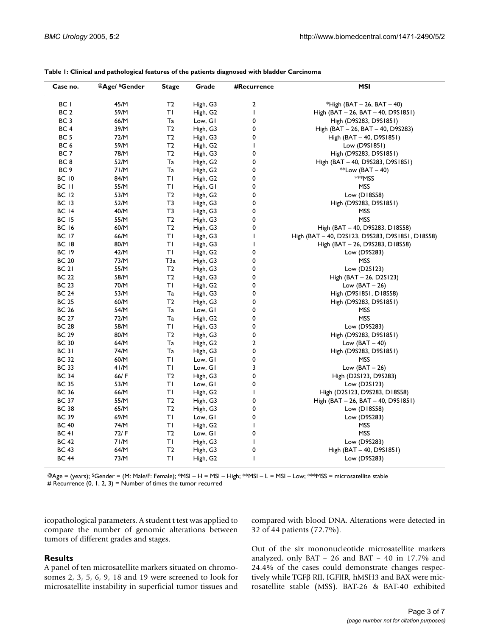| Case no.        | @Age/ \$Gender | Stage          | Grade                | #Recurrence  | <b>MSI</b>                                       |
|-----------------|----------------|----------------|----------------------|--------------|--------------------------------------------------|
| BC I            | 45/M           | T <sub>2</sub> | High, G3             | 2            | *High (BAT $-$ 26, BAT $-$ 40)                   |
| BC <sub>2</sub> | 59/M           | ΤI             | High, G2             | $\mathbf{I}$ | High (BAT - 26, BAT - 40, D9S1851)               |
| BC <sub>3</sub> | 66/M           | Ta             | Low, GI              | 0            | High (D9S283, D9S1851)                           |
| BC <sub>4</sub> | 39/M           | T2             | High, G3             | 0            | High (BAT $-$ 26, BAT $-$ 40, D9S283)            |
| BC 5            | 72/M           | T <sub>2</sub> | High, G3             | 0            | High (BAT – 40, D9S1851)                         |
| BC 6            | 59/M           | T2             | High, G <sub>2</sub> | $\mathbf{I}$ | Low (D9S1851)                                    |
| BC 7            | 78/M           | T <sub>2</sub> | High, G3             | 0            | High (D9S283, D9S1851)                           |
| BC 8            | 52/M           | Ta             | High, G2             | 0            | High (BAT - 40, D9S283, D9S1851)                 |
| BC <sub>9</sub> | 71/M           | Ta             | High, G2             | 0            | **Low (BAT $-$ 40)                               |
| <b>BC 10</b>    | 84/M           | ΤI             | High, G <sub>2</sub> | 0            | <sup>**</sup> MSS                                |
| BC II           | 55/M           | ΤI             | High, GI             | 0            | <b>MSS</b>                                       |
| <b>BC 12</b>    | 53/M           | T <sub>2</sub> | High, G <sub>2</sub> | 0            | Low (D18S58)                                     |
| <b>BC 13</b>    | 52/M           | T3             | High, G3             | 0            | High (D9S283, D9S1851)                           |
| <b>BC 14</b>    | 40/M           | T3             | High, G3             | 0            | MSS                                              |
| <b>BC 15</b>    | 55/M           | T <sub>2</sub> | High, G3             | 0            | <b>MSS</b>                                       |
| <b>BC 16</b>    | 60/M           | T <sub>2</sub> | High, G3             | 0            | High (BAT - 40, D9S283, D18S58)                  |
| <b>BC 17</b>    | 66/M           | ΤI             | High, G3             | I.           | High (BAT - 40, D2S123, D9S283, D9S1851, D18S58) |
| <b>BC 18</b>    | 80/M           | ΤI             | High, G3             | L            | High (BAT – 26, D9S283, D18S58)                  |
| <b>BC 19</b>    | 42/M           | ΤI             | High, G2             | 0            | Low (D9S283)                                     |
| <b>BC 20</b>    | 73/M           | T3a            | High, G3             | 0            | <b>MSS</b>                                       |
| <b>BC 21</b>    | 55/M           | T <sub>2</sub> | High, G3             | 0            | Low (D2S123)                                     |
| <b>BC 22</b>    | 58/M           | T <sub>2</sub> | High, G3             | 0            | High $(BAT - 26, D2S123)$                        |
| <b>BC 23</b>    | 70/M           | ΤI             | High, G <sub>2</sub> | 0            | Low $(BAT - 26)$                                 |
| <b>BC 24</b>    | 53/M           | Ta             | High, G3             | 0            | High (D9S1851, D18S58)                           |
| <b>BC 25</b>    | 60/M           | T2             | High, G3             | 0            | High (D9S283, D9S1851)                           |
| <b>BC 26</b>    | 54/M           | Ta             | Low, GI              | 0            | MSS                                              |
| <b>BC 27</b>    | 72/M           | Ta             | High, G <sub>2</sub> | 0            | <b>MSS</b>                                       |
| BC 28           | 58/M           | ΤI             | High, G3             | 0            | Low (D9S283)                                     |
| <b>BC 29</b>    | 80/M           | T <sub>2</sub> | High, G3             | 0            | High (D9S283, D9S1851)                           |
| <b>BC 30</b>    | 64/M           | Ta             | High, G <sub>2</sub> | 2            | Low $(BAT - 40)$                                 |
| <b>BC 31</b>    | 74/M           | Ta             | High, G3             | 0            | High (D9S283, D9S1851)                           |
| <b>BC 32</b>    | 60/M           | ΤI             | Low, GI              | 0            | MSS                                              |
| <b>BC 33</b>    | 41/M           | ΤI             | Low, GI              | 3            | Low $(BAT - 26)$                                 |
| <b>BC 34</b>    | 66/F           | T <sub>2</sub> | High, G3             | 0            | High (D2S123, D9S283)                            |
| <b>BC 35</b>    | 53/M           | ΤI             | Low, GI              | 0            | Low $(D2S123)$                                   |
| BC 36           | 66/M           | ΤI             | High, G <sub>2</sub> | T            | High (D2S123, D9S283, D18S58)                    |
| BC 37           | 55/M           | T <sub>2</sub> | High, G3             | 0            | High (BAT - 26, BAT - 40, D9S1851)               |
| <b>BC 38</b>    | 65/M           | T <sub>2</sub> | High, G3             | 0            | Low $(D18558)$                                   |
| BC 39           | 69/M           | ΤI             | Low, GI              | 0            | Low (D9S283)                                     |
| <b>BC 40</b>    | 74/M           | ΤI             | High, G2             | $\mathbf{I}$ | MSS                                              |
| <b>BC 41</b>    | 72/F           | T <sub>2</sub> | Low, GI              | 0            | <b>MSS</b>                                       |
| BC 42           | 71/M           | ΤI             | High, G3             | T            | Low (D9S283)                                     |
| BC 43           | 64/M           | T <sub>2</sub> | High, G3             | 0            | High (BAT - 40, D9S1851)                         |
| BC 44           | 73/M           | ΤI             | High, G <sub>2</sub> | I.           | Low (D9S283)                                     |

**Table 1: Clinical and pathological features of the patients diagnosed with bladder Carcinoma**

@Age = (years); \$Gender = (M: Male/F: Female); \*MSI – H = MSI – High; \*\*MSI – L = MSI – Low; \*\*\*MSS = microsatellite stable # Recurrence  $(0, 1, 2, 3)$  = Number of times the tumor recurred

icopathological parameters. A student t test was applied to compare the number of genomic alterations between tumors of different grades and stages.

# compared with blood DNA. Alterations were detected in 32 of 44 patients (72.7%).

# **Results**

A panel of ten microsatellite markers situated on chromosomes 2, 3, 5, 6, 9, 18 and 19 were screened to look for microsatellite instability in superficial tumor tissues and Out of the six mononucleotide microsatellite markers analyzed, only BAT – 26 and BAT – 40 in 17.7% and 24.4% of the cases could demonstrate changes respectively while TGFβ RII, IGFIIR, hMSH3 and BAX were microsatellite stable (MSS). BAT-26 & BAT-40 exhibited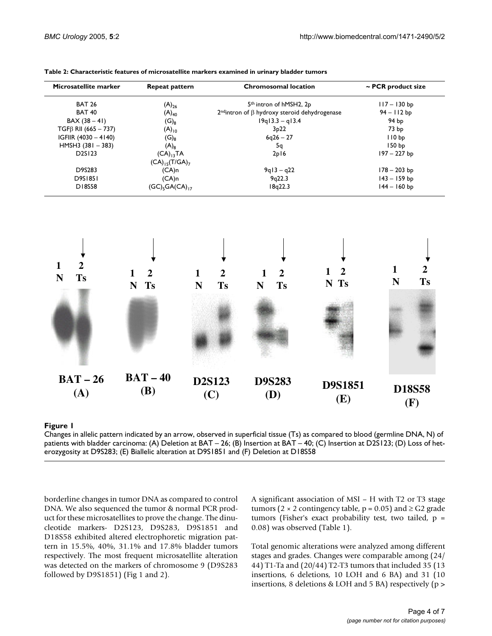| Microsatellite marker      | Repeat pattern                         | <b>Chromosomal location</b>                           | $\sim$ PCR product size |
|----------------------------|----------------------------------------|-------------------------------------------------------|-------------------------|
| <b>BAT 26</b>              | $(A)_{26}$                             | 5 <sup>th</sup> intron of hMSH2, 2p                   | $117 - 130$ bp          |
| <b>BAT 40</b>              | $(A)_{40}$                             | $2nd$ intron of $\beta$ hydroxy steroid dehydrogenase | $94 - 112$ bp           |
| $BAX (38 - 41)$            | $(\mathsf{G})_8$                       | $19q13.3 - q13.4$                                     | 94 bp                   |
| $TGF\beta$ RII (665 - 737) | $(A)_{10}$                             | 3p22                                                  | 73 <sub>bp</sub>        |
| IGFIIR $(4030 - 4140)$     | $(\mathsf{G})_{8}$                     | $6q26 - 27$                                           | 110 <sub>bp</sub>       |
| HMSH3 $(381 - 383)$        | $(A)_8$                                | 5q                                                    | 150 <sub>bp</sub>       |
| D <sub>2S</sub> 123        | $(CA)_{13}TA$                          | 2p16                                                  | 197 – 227 bp            |
|                            | $(CA)_{15}$ (T/GA) <sub>7</sub>        |                                                       |                         |
| D9S283                     | $(CA)$ n                               | $9q13 - q22$                                          | $178 - 203$ bp          |
| D9S1851                    | $(CA)$ n                               | 9q22.3                                                | $143 - 159$ bp          |
| <b>DI8S58</b>              | (GC) <sub>5</sub> GA(CA) <sub>17</sub> | 18q22.3                                               | $144 - 160$ bp          |

| Table 2: Characteristic features of microsatellite markers examined in urinary bladder tumors |  |  |
|-----------------------------------------------------------------------------------------------|--|--|
|-----------------------------------------------------------------------------------------------|--|--|



# Changes in allelic pattern indicated by an ar patients with bladder carcinoma **Figure 1** row, observed in superficial tissue (Ts) as compared to blood (germline DNA, N) of

Changes in allelic pattern indicated by an arrow, observed in superficial tissue (Ts) as compared to blood (germline DNA, N) of patients with bladder carcinoma: (A) Deletion at BAT – 26; (B) Insertion at BAT – 40; (C) Insertion at D2S123; (D) Loss of heterozygosity at D9S283; (E) Biallelic alteration at D9S1851 and (F) Deletion at D18S58

borderline changes in tumor DNA as compared to control DNA. We also sequenced the tumor & normal PCR product for these microsatellites to prove the change. The dinucleotide markers- D2S123, D9S283, D9S1851 and D18S58 exhibited altered electrophoretic migration pattern in 15.5%, 40%, 31.1% and 17.8% bladder tumors respectively. The most frequent microsatellite alteration was detected on the markers of chromosome 9 (D9S283 followed by D9S1851) (Fig 1 and [2\)](#page-4-0).

A significant association of MSI – H with T2 or T3 stage tumors (2 × 2 contingency table,  $p = 0.05$ ) and  $\ge$  G2 grade tumors (Fisher's exact probability test, two tailed,  $p =$ 0.08) was observed (Table 1).

Total genomic alterations were analyzed among different stages and grades. Changes were comparable among (24/ 44) T1-Ta and (20/44) T2-T3 tumors that included 35 (13 insertions, 6 deletions, 10 LOH and 6 BA) and 31 (10 insertions, 8 deletions & LOH and 5 BA) respectively (p >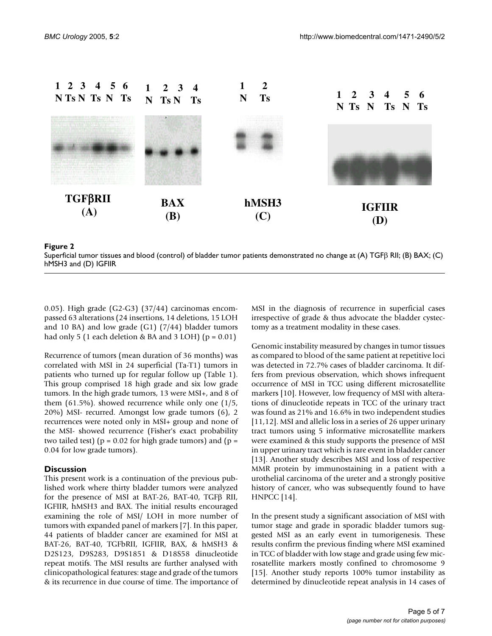<span id="page-4-0"></span>

### Superficial tumor tissues and blood (c hMSH3 and (D) IGFIIR **Figure 2** ontrol) of bladder tumor patients demonstrated no change at (A) TGFβ RII; (B) BAX; (C)

Superficial tumor tissues and blood (control) of bladder tumor patients demonstrated no change at (A) TGFβ RII; (B) BAX; (C) hMSH3 and (D) IGFIIR

0.05). High grade (G2-G3) (37/44) carcinomas encompassed 63 alterations (24 insertions, 14 deletions, 15 LOH and 10 BA) and low grade  $(G1)$   $(7/44)$  bladder tumors had only 5 (1 each deletion & BA and 3 LOH) ( $p = 0.01$ )

Recurrence of tumors (mean duration of 36 months) was correlated with MSI in 24 superficial (Ta-T1) tumors in patients who turned up for regular follow up (Table 1). This group comprised 18 high grade and six low grade tumors. In the high grade tumors, 13 were MSI+, and 8 of them (61.5%). showed recurrence while only one (1/5, 20%) MSI- recurred. Amongst low grade tumors (6), 2 recurrences were noted only in MSI+ group and none of the MSI- showed recurrence (Fisher's exact probability two tailed test) ( $p = 0.02$  for high grade tumors) and ( $p =$ 0.04 for low grade tumors).

#### **Discussion**

This present work is a continuation of the previous published work where thirty bladder tumors were analyzed for the presence of MSI at BAT-26, BAT-40, TGFβ RII, IGFIIR, hMSH3 and BAX. The initial results encouraged examining the role of MSI/ LOH in more number of tumors with expanded panel of markers [7]. In this paper, 44 patients of bladder cancer are examined for MSI at BAT-26, BAT-40, TGFbRII, IGFIIR, BAX, & hMSH3 & D2S123, D9S283, D9S1851 & D18S58 dinucleotide repeat motifs. The MSI results are further analysed with clinicopathological features: stage and grade of the tumors & its recurrence in due course of time. The importance of MSI in the diagnosis of recurrence in superficial cases irrespective of grade & thus advocate the bladder cystectomy as a treatment modality in these cases.

Genomic instability measured by changes in tumor tissues as compared to blood of the same patient at repetitive loci was detected in 72.7% cases of bladder carcinoma. It differs from previous observation, which shows infrequent occurrence of MSI in TCC using different microsatellite markers [10]. However, low frequency of MSI with alterations of dinucleotide repeats in TCC of the urinary tract was found as 21% and 16.6% in two independent studies [11,12]. MSI and allelic loss in a series of 26 upper urinary tract tumors using 5 informative microsatellite markers were examined & this study supports the presence of MSI in upper urinary tract which is rare event in bladder cancer [13]. Another study describes MSI and loss of respective MMR protein by immunostaining in a patient with a urothelial carcinoma of the ureter and a strongly positive history of cancer, who was subsequently found to have HNPCC [14].

In the present study a significant association of MSI with tumor stage and grade in sporadic bladder tumors suggested MSI as an early event in tumorigenesis. These results confirm the previous finding where MSI examined in TCC of bladder with low stage and grade using few microsatellite markers mostly confined to chromosome 9 [15]. Another study reports 100% tumor instability as determined by dinucleotide repeat analysis in 14 cases of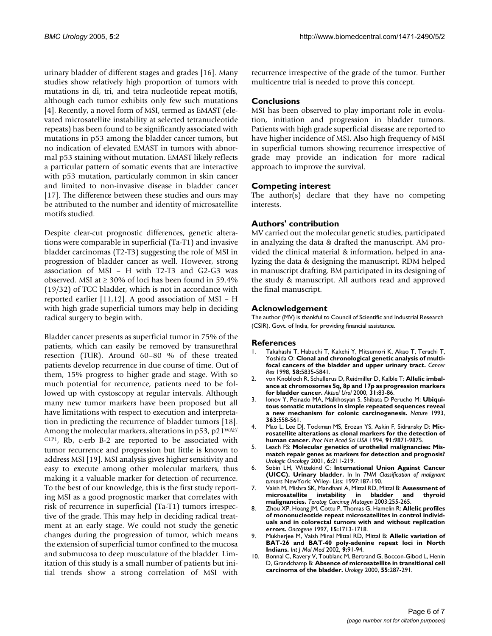urinary bladder of different stages and grades [16]. Many studies show relatively high proportion of tumors with mutations in di, tri, and tetra nucleotide repeat motifs, although each tumor exhibits only few such mutations [4]. Recently, a novel form of MSI, termed as EMAST (elevated microsatellite instability at selected tetranucleotide repeats) has been found to be significantly associated with mutations in p53 among the bladder cancer tumors, but no indication of elevated EMAST in tumors with abnormal p53 staining without mutation. EMAST likely reflects a particular pattern of somatic events that are interactive with p53 mutation, particularly common in skin cancer and limited to non-invasive disease in bladder cancer [17]. The difference between these studies and ours may be attributed to the number and identity of microsatellite motifs studied.

Despite clear-cut prognostic differences, genetic alterations were comparable in superficial (Ta-T1) and invasive bladder carcinomas (T2-T3) suggesting the role of MSI in progression of bladder cancer as well. However, strong association of MSI – H with T2-T3 and G2-G3 was observed. MSI at  $\geq$  30% of loci has been found in 59.4% (19/32) of TCC bladder, which is not in accordance with reported earlier [11,12]. A good association of MSI – H with high grade superficial tumors may help in deciding radical surgery to begin with.

Bladder cancer presents as superficial tumor in 75% of the patients, which can easily be removed by transurethral resection (TUR). Around 60–80 % of these treated patients develop recurrence in due course of time. Out of them, 15% progress to higher grade and stage. With so much potential for recurrence, patients need to be followed up with cystoscopy at regular intervals. Although many new tumor markers have been proposed but all have limitations with respect to execution and interpretation in predicting the recurrence of bladder tumors [18]. Among the molecular markers, alterations in p53, p21WAF/  $C1P1$ , Rb, c-erb B-2 are reported to be associated with tumor recurrence and progression but little is known to address MSI [19]. MSI analysis gives higher sensitivity and easy to execute among other molecular markers, thus making it a valuable marker for detection of recurrence. To the best of our knowledge, this is the first study reporting MSI as a good prognostic marker that correlates with risk of recurrence in superficial (Ta-T1) tumors irrespective of the grade. This may help in deciding radical treatment at an early stage. We could not study the genetic changes during the progression of tumor, which means the extension of superficial tumor confined to the mucosa and submucosa to deep musculature of the bladder. Limitation of this study is a small number of patients but initial trends show a strong correlation of MSI with recurrence irrespective of the grade of the tumor. Further multicentre trial is needed to prove this concept.

#### **Conclusions**

MSI has been observed to play important role in evolution, initiation and progression in bladder tumors. Patients with high grade superficial disease are reported to have higher incidence of MSI. Also high frequency of MSI in superficial tumors showing recurrence irrespective of grade may provide an indication for more radical approach to improve the survival.

### **Competing interest**

The author(s) declare that they have no competing interests.

### **Authors' contribution**

MV carried out the molecular genetic studies, participated in analyzing the data & drafted the manuscript. AM provided the clinical material & information, helped in analyzing the data & designing the manuscript. RDM helped in manuscript drafting. BM participated in its designing of the study & manuscript. All authors read and approved the final manuscript.

#### **Acknowledgement**

The author (MV) is thankful to Council of Scientific and Industrial Research (CSIR), Govt. of India, for providing financial assistance.

#### **References**

- 1. Takahashi T, Habuchi T, Kakehi Y, Mitsumori K, Akao T, Terachi T, Yoshida O: **[Clonal and chronological genetic analysis of multi](http://www.ncbi.nlm.nih.gov/entrez/query.fcgi?cmd=Retrieve&db=PubMed&dopt=Abstract&list_uids=9865743)[focal cancers of the bladder and upper urinary tract.](http://www.ncbi.nlm.nih.gov/entrez/query.fcgi?cmd=Retrieve&db=PubMed&dopt=Abstract&list_uids=9865743)** *Cancer Res* 1998, **58:**5835-5841.
- 2. von Knobloch R, Schullerus D, Reidmiller D, Kalble T: **Allelic imbalance at chromosomes 5q, 8p and 17p as progression markers for bladder cancer.** *Aktuel Urol* 2000, **31:**83-86.
- 3. Ionov Y, Peinado MA, Malkhosyan S, Shibata D Perucho M: **[Ubiqui](http://www.ncbi.nlm.nih.gov/entrez/query.fcgi?cmd=Retrieve&db=PubMed&dopt=Abstract&list_uids=8505985)[tous somatic mutations in simple repeated sequences reveal](http://www.ncbi.nlm.nih.gov/entrez/query.fcgi?cmd=Retrieve&db=PubMed&dopt=Abstract&list_uids=8505985) [a new mechanism for colonic carcinogenesis.](http://www.ncbi.nlm.nih.gov/entrez/query.fcgi?cmd=Retrieve&db=PubMed&dopt=Abstract&list_uids=8505985)** *Nature* 1993, **363:**558-561.
- 4. Mao L, Lee DJ, Tockman MS, Erozan YS, Askin F, Sidransky D: **[Mic](http://www.ncbi.nlm.nih.gov/entrez/query.fcgi?cmd=Retrieve&db=PubMed&dopt=Abstract&list_uids=7937908)[rosatellite alterations as clonal markers for the detection of](http://www.ncbi.nlm.nih.gov/entrez/query.fcgi?cmd=Retrieve&db=PubMed&dopt=Abstract&list_uids=7937908) [human cancer.](http://www.ncbi.nlm.nih.gov/entrez/query.fcgi?cmd=Retrieve&db=PubMed&dopt=Abstract&list_uids=7937908)** *Proc Nat Acad Sci USA* 1994, **91:**9871-9875.
- 5. Leach FS: **Molecular genetics of urothelial malignancies: Mismatch repair genes as markers for detection and prognosis?** *Urologic Oncology* 2001, **6:**211-219.
- 6. Sobin LH, Wittekind C: **International Union Against Cancer (UICC). Urinary bladder.** In In *TNM Classification of malignant tumors* NewYork: Wiley- Liss; 1997:187-190.
- 7. Vaish M, Mishra SK, Mandhani A, Mittal RD, Mittal B: **[Assessment of](http://www.ncbi.nlm.nih.gov/entrez/query.fcgi?cmd=Retrieve&db=PubMed&dopt=Abstract&list_uids=12616616) [microsatellite instability in bladder and thyroid](http://www.ncbi.nlm.nih.gov/entrez/query.fcgi?cmd=Retrieve&db=PubMed&dopt=Abstract&list_uids=12616616) [malignancies.](http://www.ncbi.nlm.nih.gov/entrez/query.fcgi?cmd=Retrieve&db=PubMed&dopt=Abstract&list_uids=12616616)** *Teratog Carcinog Mutagen* 2003:255-265.
- 8. Zhou XP, Hoang JM, Cottu P, Thomas G, Hamelin R: **[Allelic profiles](http://www.ncbi.nlm.nih.gov/entrez/query.fcgi?cmd=Retrieve&db=PubMed&dopt=Abstract&list_uids=9349505) [of mononucleotide repeat microsatellites in control individ](http://www.ncbi.nlm.nih.gov/entrez/query.fcgi?cmd=Retrieve&db=PubMed&dopt=Abstract&list_uids=9349505)uals and in colorectal tumors with and without replication [errors.](http://www.ncbi.nlm.nih.gov/entrez/query.fcgi?cmd=Retrieve&db=PubMed&dopt=Abstract&list_uids=9349505)** *Oncogene* 1997, **15:**1713-1718.
- 9. Mukherjee M, Vaish Minal Mittal RD, Mittal B: **[Allelic variation of](http://www.ncbi.nlm.nih.gov/entrez/query.fcgi?cmd=Retrieve&db=PubMed&dopt=Abstract&list_uids=11745004) [BAT-26 and BAT-40 poly-adenine repeat loci in North](http://www.ncbi.nlm.nih.gov/entrez/query.fcgi?cmd=Retrieve&db=PubMed&dopt=Abstract&list_uids=11745004) [Indians.](http://www.ncbi.nlm.nih.gov/entrez/query.fcgi?cmd=Retrieve&db=PubMed&dopt=Abstract&list_uids=11745004)** *Int J Mol Med* 2002, **9:**91-94.
- 10. Bonnal C, Ravery V, Toublanc M, Bertrand G, Boccon-Gibod L, Henin D, Grandchamp B: **[Absence of microsatellite in transitional cell](http://www.ncbi.nlm.nih.gov/entrez/query.fcgi?cmd=Retrieve&db=PubMed&dopt=Abstract&list_uids=10688097) [carcinoma of the bladder.](http://www.ncbi.nlm.nih.gov/entrez/query.fcgi?cmd=Retrieve&db=PubMed&dopt=Abstract&list_uids=10688097)** *Urology* 2000, **55:**287-291.